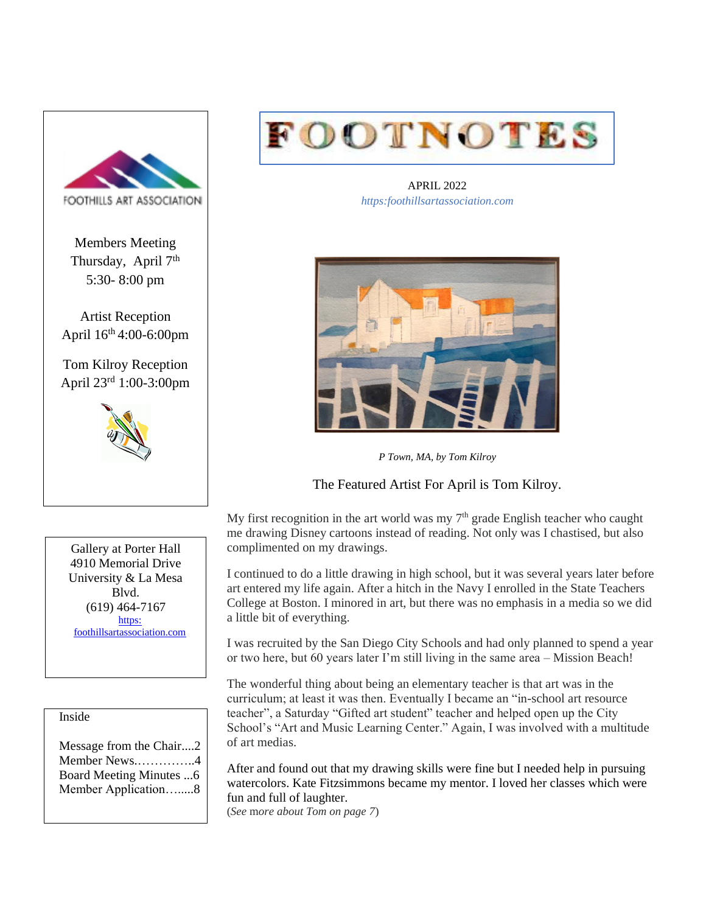

Members Meeting Thursday, April 7<sup>th</sup> 5:30- 8:00 pm

Artist Reception April 16th 4:00-6:00pm

Tom Kilroy Reception April 23rd 1:00-3:00pm



Gallery at Porter Hall 4910 Memorial Drive University & La Mesa Blvd. (619) 464-7167 https: [foothillsartassociation.com](https://foothillsartassociation.com/)

#### Inside

Message from the Chair....2 Member News.…………..4 Board Meeting Minutes ...6 Member Application….....8



APRIL 2022 *https:foothillsartassociation.com*



*P Town, MA, by Tom Kilroy*

The Featured Artist For April is Tom Kilroy.

My first recognition in the art world was my  $7<sup>th</sup>$  grade English teacher who caught me drawing Disney cartoons instead of reading. Not only was I chastised, but also complimented on my drawings.

I continued to do a little drawing in high school, but it was several years later before art entered my life again. After a hitch in the Navy I enrolled in the State Teachers College at Boston. I minored in art, but there was no emphasis in a media so we did a little bit of everything.

I was recruited by the San Diego City Schools and had only planned to spend a year or two here, but 60 years later I'm still living in the same area – Mission Beach!

The wonderful thing about being an elementary teacher is that art was in the curriculum; at least it was then. Eventually I became an "in-school art resource teacher", a Saturday "Gifted art student" teacher and helped open up the City School's "Art and Music Learning Center." Again, I was involved with a multitude of art medias.

After and found out that my drawing skills were fine but I needed help in pursuing watercolors. Kate Fitzsimmons became my mentor. I loved her classes which were fun and full of laughter.

(*See* m*ore about Tom on page 7*)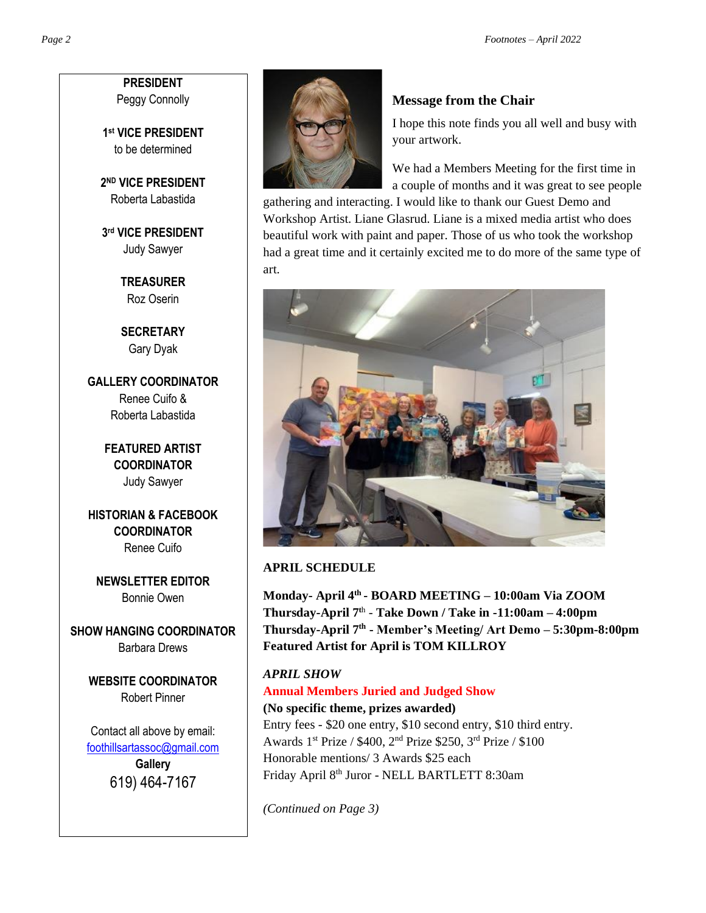**PRESIDENT** Peggy Connolly

**1 st VICE PRESIDENT** to be determined

**2 ND VICE PRESIDENT** Roberta Labastida

**3 rd VICE PRESIDENT** Judy Sawyer

> **TREASURER** Roz Oserin

**SECRETARY** Gary Dyak

**GALLERY COORDINATOR** Renee Cuifo & Roberta Labastida

> **FEATURED ARTIST COORDINATOR** Judy Sawyer

**HISTORIAN & FACEBOOK COORDINATOR** Renee Cuifo

**NEWSLETTER EDITOR** Bonnie Owen

**SHOW HANGING COORDINATOR** Barbara Drews

> **WEBSITE COORDINATOR** Robert Pinner

Contact all above by email: [foothillsartassoc@gmail.com](mailto:foothillsartassoc@gmail.com) **Gallery** 619) 464-7167



# **Message from the Chair**

I hope this note finds you all well and busy with your artwork.

We had a Members Meeting for the first time in a couple of months and it was great to see people

gathering and interacting. I would like to thank our Guest Demo and Workshop Artist. Liane Glasrud. Liane is a mixed media artist who does beautiful work with paint and paper. Those of us who took the workshop had a great time and it certainly excited me to do more of the same type of art.



#### **APRIL SCHEDULE**

**Monday- April 4th - BOARD MEETING – 10:00am Via ZOOM Thursday-April 7<sup>t</sup>**<sup>h</sup> - **Take Down / Take in -11:00am – 4:00pm Thursday-April 7th - Member's Meeting/ Art Demo – 5:30pm-8:00pm Featured Artist for April is TOM KILLROY**

*APRIL SHOW* **Annual Members Juried and Judged Show (No specific theme, prizes awarded)**  Entry fees - \$20 one entry, \$10 second entry, \$10 third entry. Awards 1st Prize / \$400, 2nd Prize \$250, 3rd Prize / \$100 Honorable mentions/ 3 Awards \$25 each Friday April 8th Juror - NELL BARTLETT 8:30am

*(Continued on Page 3)*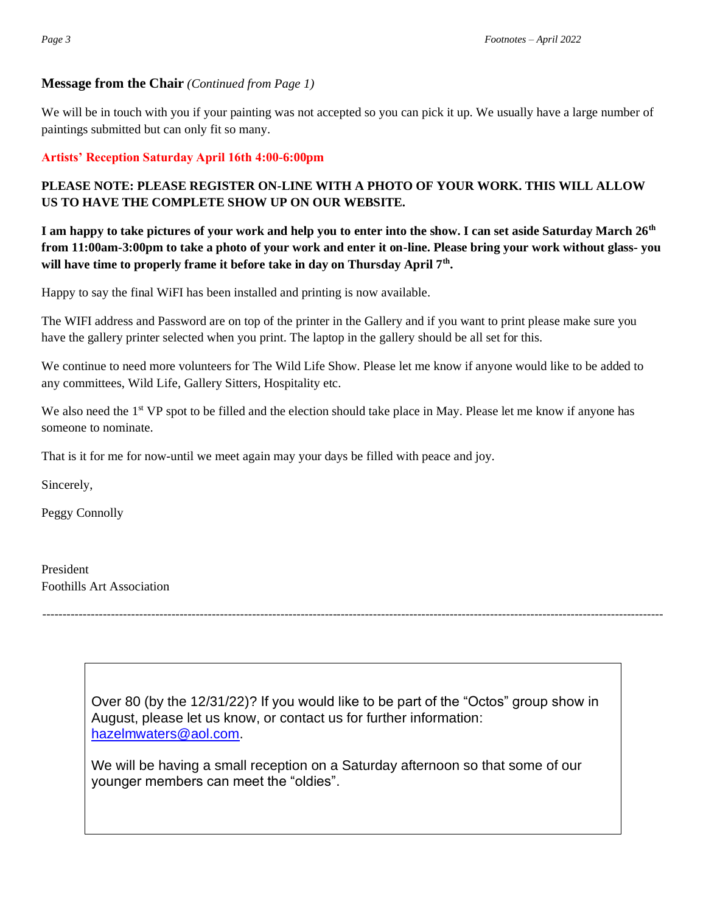#### **Message from the Chair** *(Continued from Page 1)*

We will be in touch with you if your painting was not accepted so you can pick it up. We usually have a large number of paintings submitted but can only fit so many.

#### **Artists' Reception Saturday April 16th 4:00-6:00pm**

# **PLEASE NOTE: PLEASE REGISTER ON-LINE WITH A PHOTO OF YOUR WORK. THIS WILL ALLOW US TO HAVE THE COMPLETE SHOW UP ON OUR WEBSITE.**

**I am happy to take pictures of your work and help you to enter into the show. I can set aside Saturday March 26th from 11:00am-3:00pm to take a photo of your work and enter it on-line. Please bring your work without glass- you will have time to properly frame it before take in day on Thursday April 7th .** 

Happy to say the final WiFI has been installed and printing is now available.

The WIFI address and Password are on top of the printer in the Gallery and if you want to print please make sure you have the gallery printer selected when you print. The laptop in the gallery should be all set for this.

We continue to need more volunteers for The Wild Life Show. Please let me know if anyone would like to be added to any committees, Wild Life, Gallery Sitters, Hospitality etc.

We also need the 1<sup>st</sup> VP spot to be filled and the election should take place in May. Please let me know if anyone has someone to nominate.

That is it for me for now-until we meet again may your days be filled with peace and joy.

Sincerely,

Peggy Connolly

President Foothills Art Association

> Over 80 (by the 12/31/22)? If you would like to be part of the "Octos" group show in August, please let us know, or contact us for further information: [hazelmwaters@aol.com.](mailto:hazelmwaters@aol.com)

----------------------------------------------------------------------------------------------------------------------------------------------------------

We will be having a small reception on a Saturday afternoon so that some of our younger members can meet the "oldies".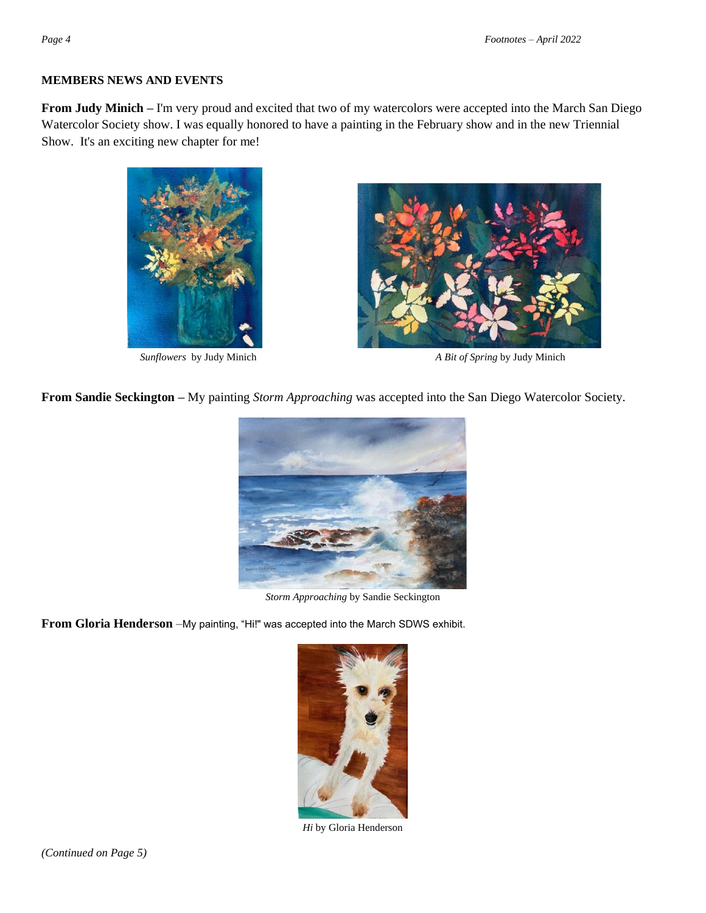#### **MEMBERS NEWS AND EVENTS**

**From Judy Minich –** I'm very proud and excited that two of my watercolors were accepted into the March San Diego Watercolor Society show. I was equally honored to have a painting in the February show and in the new Triennial Show. It's an exciting new chapter for me!





 *Sunflowers* by Judy Minich *A Bit of Spring* by Judy Minich

**From Sandie Seckington –** My painting *Storm Approaching* was accepted into the San Diego Watercolor Society.



*Storm Approaching* by Sandie Seckington

**From Gloria Henderson** –My painting, "Hi!" was accepted into the March SDWS exhibit.



*Hi* by Gloria Henderson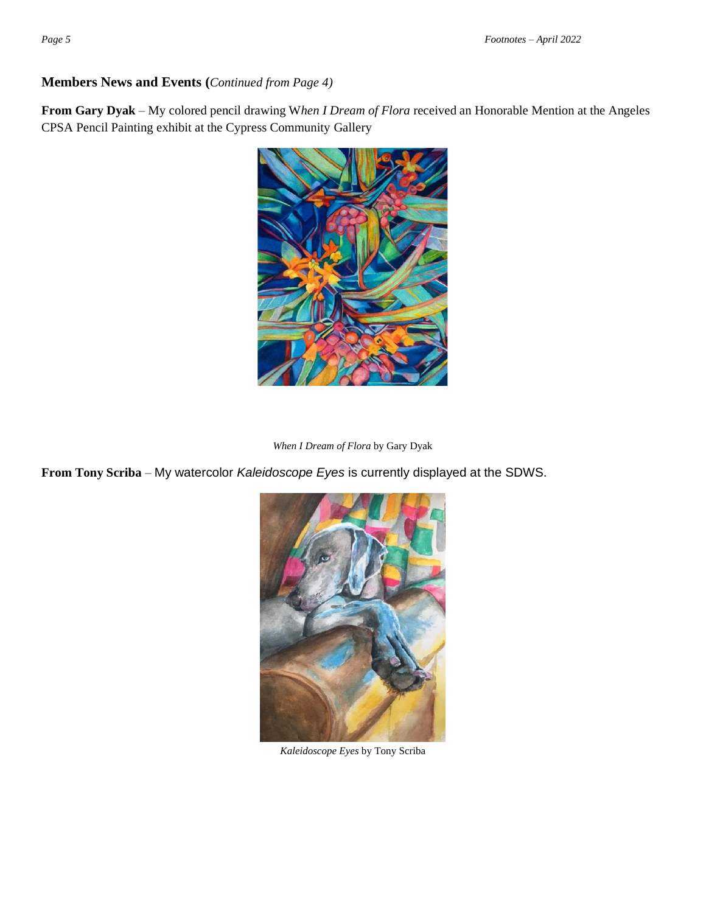## **Members News and Events (***Continued from Page 4)*

**From Gary Dyak** – My colored pencil drawing W*hen I Dream of Flora* received an Honorable Mention at the Angeles CPSA Pencil Painting exhibit at the Cypress Community Gallery



*When I Dream of Flora* by Gary Dyak

**From Tony Scriba** – My watercolor *Kaleidoscope Eyes* is currently displayed at the SDWS.



*Kaleidoscope Eyes* by Tony Scriba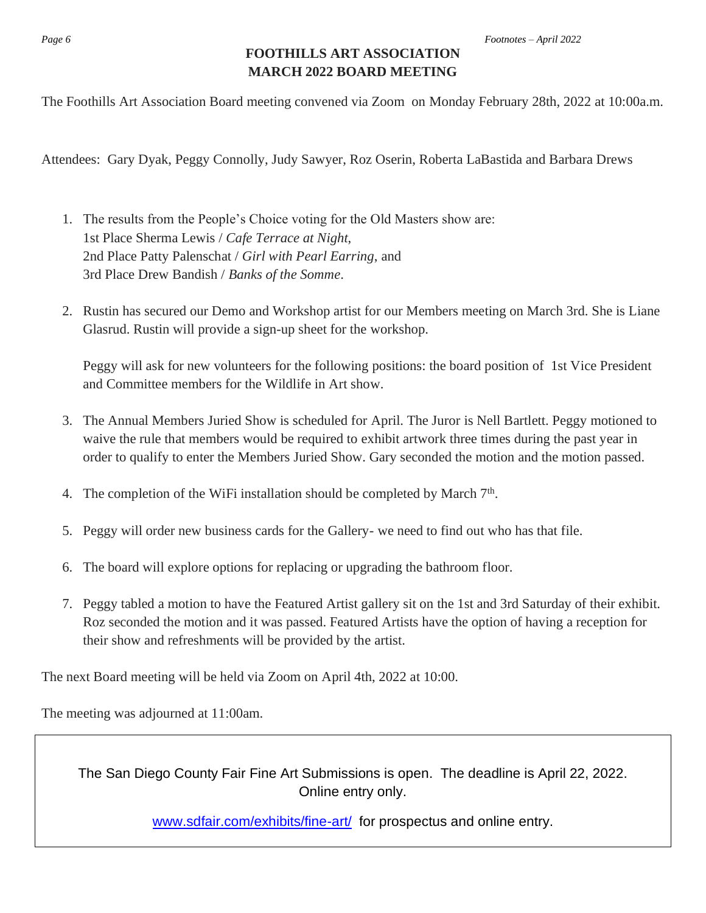# **FOOTHILLS ART ASSOCIATION MARCH 2022 BOARD MEETING**

The Foothills Art Association Board meeting convened via Zoom on Monday February 28th, 2022 at 10:00a.m.

Attendees: Gary Dyak, Peggy Connolly, Judy Sawyer, Roz Oserin, Roberta LaBastida and Barbara Drews

- 1. The results from the People's Choice voting for the Old Masters show are: 1st Place Sherma Lewis / *Cafe Terrace at Night*, 2nd Place Patty Palenschat / *Girl with Pearl Earring*, and 3rd Place Drew Bandish / *Banks of the Somme*.
- 2. Rustin has secured our Demo and Workshop artist for our Members meeting on March 3rd. She is Liane Glasrud. Rustin will provide a sign-up sheet for the workshop.

Peggy will ask for new volunteers for the following positions: the board position of 1st Vice President and Committee members for the Wildlife in Art show.

- 3. The Annual Members Juried Show is scheduled for April. The Juror is Nell Bartlett. Peggy motioned to waive the rule that members would be required to exhibit artwork three times during the past year in order to qualify to enter the Members Juried Show. Gary seconded the motion and the motion passed.
- 4. The completion of the WiFi installation should be completed by March 7<sup>th</sup>.
- 5. Peggy will order new business cards for the Gallery- we need to find out who has that file.
- 6. The board will explore options for replacing or upgrading the bathroom floor.
- 7. Peggy tabled a motion to have the Featured Artist gallery sit on the 1st and 3rd Saturday of their exhibit. Roz seconded the motion and it was passed. Featured Artists have the option of having a reception for their show and refreshments will be provided by the artist.

The next Board meeting will be held via Zoom on April 4th, 2022 at 10:00.

The meeting was adjourned at 11:00am.

The San Diego County Fair Fine Art Submissions is open. The deadline is April 22, 2022. Online entry only.

[www.sdfair.com/exhibits/fine-art/](http://www.sdfair.com/exhibits/fine-art/) for prospectus and online entry.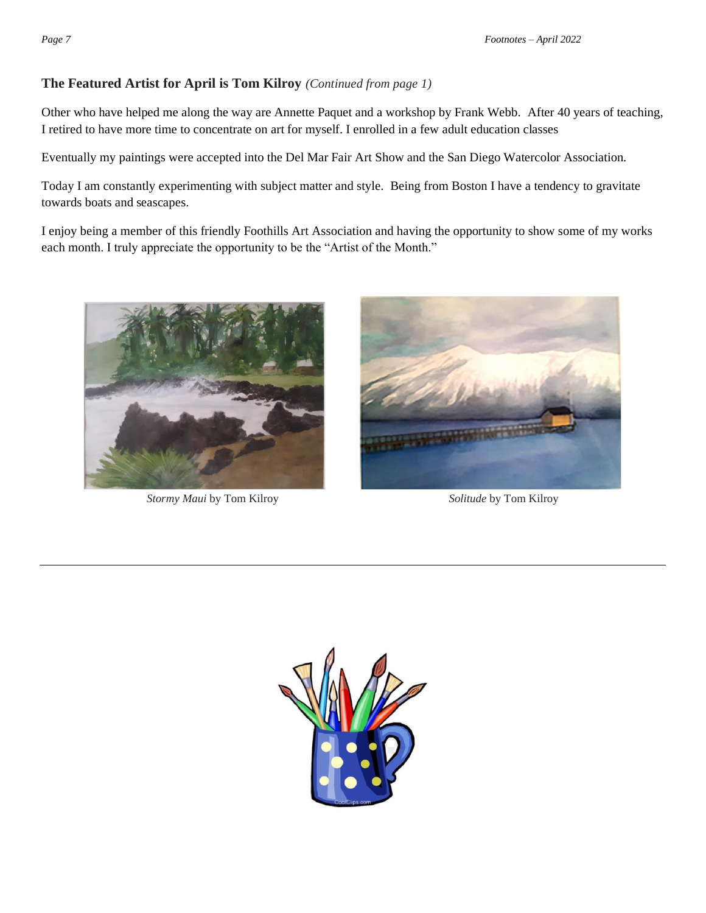# **The Featured Artist for April is Tom Kilroy** *(Continued from page 1)*

Other who have helped me along the way are Annette Paquet and a workshop by Frank Webb. After 40 years of teaching, I retired to have more time to concentrate on art for myself. I enrolled in a few adult education classes

Eventually my paintings were accepted into the Del Mar Fair Art Show and the San Diego Watercolor Association.

Today I am constantly experimenting with subject matter and style. Being from Boston I have a tendency to gravitate towards boats and seascapes.

I enjoy being a member of this friendly Foothills Art Association and having the opportunity to show some of my works each month. I truly appreciate the opportunity to be the "Artist of the Month."



*Stormy Maui* by Tom Kilroy *Solitude* by Tom Kilroy